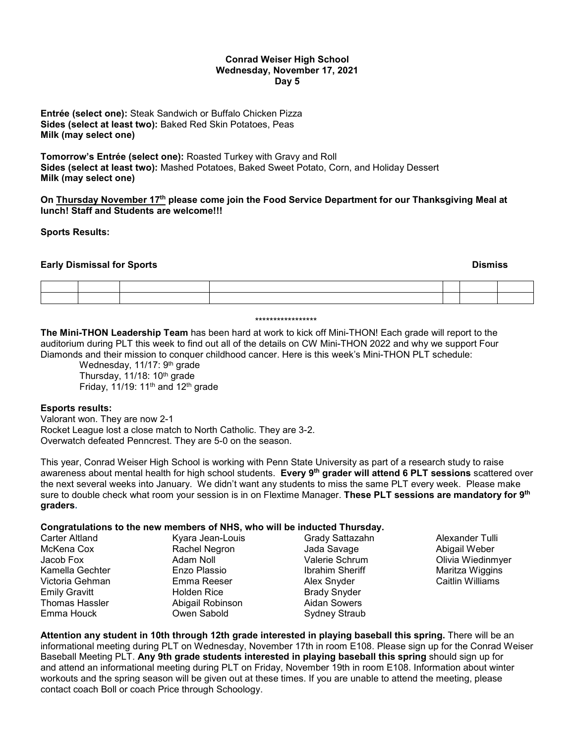### **Conrad Weiser High School Wednesday, November 17, 2021 Day 5**

**Entrée (select one):** Steak Sandwich or Buffalo Chicken Pizza **Sides (select at least two):** Baked Red Skin Potatoes, Peas **Milk (may select one)**

**Tomorrow's Entrée (select one):** Roasted Turkey with Gravy and Roll **Sides (select at least two):** Mashed Potatoes, Baked Sweet Potato, Corn, and Holiday Dessert **Milk (may select one)**

**On Thursday November 17th please come join the Food Service Department for our Thanksgiving Meal at lunch! Staff and Students are welcome!!!** 

**Sports Results:**

## **Early Dismissal for Sports Dismiss**

#### \*\*\*\*\*\*\*\*\*\*\*\*\*\*\*\*\*

**The Mini-THON Leadership Team** has been hard at work to kick off Mini-THON! Each grade will report to the auditorium during PLT this week to find out all of the details on CW Mini-THON 2022 and why we support Four Diamonds and their mission to conquer childhood cancer. Here is this week's Mini-THON PLT schedule:

Wednesday, 11/17: 9<sup>th</sup> grade Thursday,  $11/18$ :  $10<sup>th</sup>$  grade Friday,  $11/19$ :  $11<sup>th</sup>$  and  $12<sup>th</sup>$  grade

### **Esports results:**

Valorant won. They are now 2-1 Rocket League lost a close match to North Catholic. They are 3-2. Overwatch defeated Penncrest. They are 5-0 on the season.

This year, Conrad Weiser High School is working with Penn State University as part of a research study to raise awareness about mental health for high school students. **Every 9th grader will attend 6 PLT sessions** scattered over the next several weeks into January. We didn't want any students to miss the same PLT every week. Please make sure to double check what room your session is in on Flextime Manager. **These PLT sessions are mandatory for 9th graders.**

### **Congratulations to the new members of NHS, who will be inducted Thursday.**

| Carter Altland        | Kyara Jean-Louis | Grady Sattazahn        | Alexander Tulli         |
|-----------------------|------------------|------------------------|-------------------------|
| McKena Cox            | Rachel Negron    | Jada Savage            | Abigail Weber           |
| Jacob Fox             | Adam Noll        | Valerie Schrum         | Olivia Wiedinmyer       |
| Kamella Gechter       | Enzo Plassio     | <b>Ibrahim Sheriff</b> | Maritza Wiggins         |
| Victoria Gehman       | Emma Reeser      | Alex Snyder            | <b>Caitlin Williams</b> |
| <b>Emily Gravitt</b>  | Holden Rice      | <b>Brady Snyder</b>    |                         |
| <b>Thomas Hassler</b> | Abigail Robinson | Aidan Sowers           |                         |
| Emma Houck            | Owen Sabold      | Sydney Straub          |                         |

**Attention any student in 10th through 12th grade interested in playing baseball this spring.** There will be an informational meeting during PLT on Wednesday, November 17th in room E108. Please sign up for the Conrad Weiser Baseball Meeting PLT. **Any 9th grade students interested in playing baseball this spring** should sign up for and attend an informational meeting during PLT on Friday, November 19th in room E108. Information about winter workouts and the spring season will be given out at these times. If you are unable to attend the meeting, please contact coach Boll or coach Price through Schoology.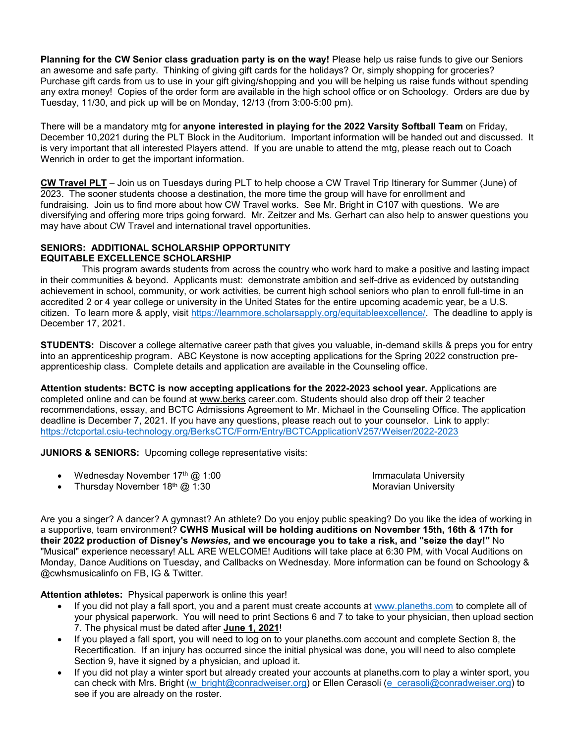**Planning for the CW Senior class graduation party is on the way!** Please help us raise funds to give our Seniors an awesome and safe party. Thinking of giving gift cards for the holidays? Or, simply shopping for groceries? Purchase gift cards from us to use in your gift giving/shopping and you will be helping us raise funds without spending any extra money! Copies of the order form are available in the high school office or on Schoology. Orders are due by Tuesday, 11/30, and pick up will be on Monday, 12/13 (from 3:00-5:00 pm).

There will be a mandatory mtg for **anyone interested in playing for the 2022 Varsity Softball Team** on Friday, December 10,2021 during the PLT Block in the Auditorium. Important information will be handed out and discussed. It is very important that all interested Players attend. If you are unable to attend the mtg, please reach out to Coach Wenrich in order to get the important information.

**CW Travel PLT** – Join us on Tuesdays during PLT to help choose a CW Travel Trip Itinerary for Summer (June) of 2023. The sooner students choose a destination, the more time the group will have for enrollment and fundraising. Join us to find more about how CW Travel works. See Mr. Bright in C107 with questions. We are diversifying and offering more trips going forward. Mr. Zeitzer and Ms. Gerhart can also help to answer questions you may have about CW Travel and international travel opportunities.

# **SENIORS: ADDITIONAL SCHOLARSHIP OPPORTUNITY EQUITABLE EXCELLENCE SCHOLARSHIP**

 This program awards students from across the country who work hard to make a positive and lasting impact in their communities & beyond. Applicants must: demonstrate ambition and self-drive as evidenced by outstanding achievement in school, community, or work activities, be current high school seniors who plan to enroll full-time in an accredited 2 or 4 year college or university in the United States for the entire upcoming academic year, be a U.S. citizen. To learn more & apply, visit [https://learnmore.scholarsapply.org/equitableexcellence/.](https://learnmore.scholarsapply.org/equitableexcellence/) The deadline to apply is December 17, 2021.

**STUDENTS:** Discover a college alternative career path that gives you valuable, in-demand skills & preps you for entry into an apprenticeship program. ABC Keystone is now accepting applications for the Spring 2022 construction preapprenticeship class. Complete details and application are available in the Counseling office.

**Attention students: BCTC is now accepting applications for the 2022-2023 school year.** Applications are completed online and can be found at [www.berks](http://www.berks/) career.com. Students should also drop off their 2 teacher recommendations, essay, and BCTC Admissions Agreement to Mr. Michael in the Counseling Office. The application deadline is December 7, 2021. If you have any questions, please reach out to your counselor. Link to apply: <https://ctcportal.csiu-technology.org/BerksCTC/Form/Entry/BCTCApplicationV257/Weiser/2022-2023>

**JUNIORS & SENIORS:** Upcoming college representative visits:

| Wednesday November $17th$ @ 1:00 | Immaculata University |
|----------------------------------|-----------------------|
| Thursday November $18th$ @ 1:30  | Moravian University   |

Are you a singer? A dancer? A gymnast? An athlete? Do you enjoy public speaking? Do you like the idea of working in a supportive, team environment? **CWHS Musical will be holding auditions on November 15th, 16th & 17th for their 2022 production of Disney's** *Newsies,* **and we encourage you to take a risk, and "seize the day!"** No "Musical" experience necessary! ALL ARE WELCOME! Auditions will take place at 6:30 PM, with Vocal Auditions on Monday, Dance Auditions on Tuesday, and Callbacks on Wednesday. More information can be found on Schoology & @cwhsmusicalinfo on FB, IG & Twitter.

**Attention athletes:** Physical paperwork is online this year!

- If you did not play a fall sport, you and a parent must create accounts at [www.planeths.com](http://www.planeths.com/) to complete all of your physical paperwork. You will need to print Sections 6 and 7 to take to your physician, then upload section 7. The physical must be dated after **June 1, 2021**!
- If you played a fall sport, you will need to log on to your planeths.com account and complete Section 8, the Recertification. If an injury has occurred since the initial physical was done, you will need to also complete Section 9, have it signed by a physician, and upload it.
- If you did not play a winter sport but already created your accounts at planeths.com to play a winter sport, you can check with Mrs. Bright [\(w\\_bright@conradweiser.org\)](mailto:w_bright@conradweiser.org) or Ellen Cerasoli [\(e\\_cerasoli@conradweiser.org\)](mailto:e_cerasoli@conradweiser.org) to see if you are already on the roster.